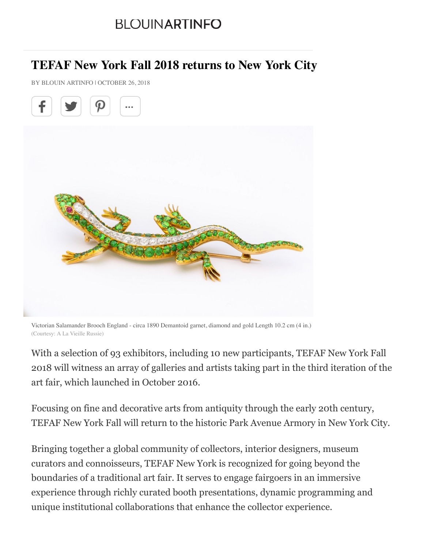## **BLOUINARTINFO**

## **TEFAF New York Fall 2018 returns to New York City**

BY BLOUIN ARTINFO | OCTOBER 26, 2018



Victorian Salamander Brooch England - circa 1890 Demantoid garnet, diamond and gold Length 10.2 cm (4 in.) (Courtesy: A La Vieille Russie)

With a selection of 93 exhibitors, including 10 new participants, TEFAF New York Fall 2018 will witness an array of galleries and artists taking part in the third iteration of the art fair, which launched in October 2016.

Focusing on fine and decorative arts from antiquity through the early 20th century, TEFAF New York Fall will return to the historic Park Avenue Armory in New York City.

Bringing together a global community of collectors, interior designers, museum curators and connoisseurs, TEFAF New York is recognized for going beyond the boundaries of a traditional art fair. It serves to engage fairgoers in an immersive experience through richly curated booth presentations, dynamic programming and unique institutional collaborations that enhance the collector experience.